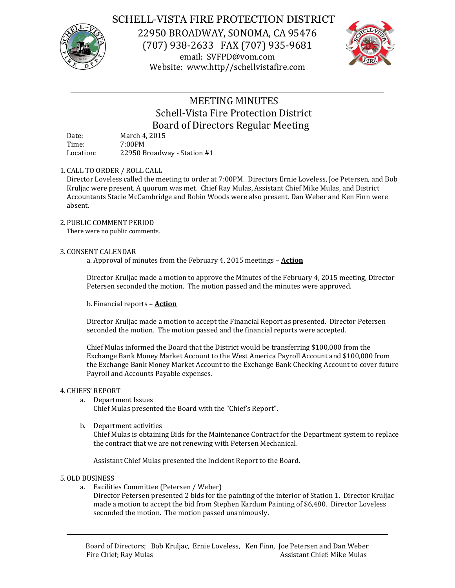

## SCHELL-VISTA FIRE PROTECTION DISTRICT

22950 BROADWAY, SONOMA, CA 95476 (707) 938-2633 FAX (707) 935-9681 email: SVFPD@vom.com Website: www.http//schellvistafire.com



# MEETING MINUTES Schell-Vista Fire Protection District Board of Directors Regular Meeting

Date: March 4, 2015<br>Time: 7:00PM 7:00PM Location: 22950 Broadway - Station #1

## 1. CALL TO ORDER / ROLL CALL

Director Loveless called the meeting to order at 7:00PM. Directors Ernie Loveless, Joe Petersen, and Bob Kruljac were present. A quorum was met. Chief Ray Mulas, Assistant Chief Mike Mulas, and District Accountants Stacie McCambridge and Robin Woods were also present. Dan Weber and Ken Finn were absent.

### 2. PUBLIC COMMENT PERIOD

There were no public comments.

### 3. CONSENT CALENDAR

a. Approval of minutes from the February 4, 2015 meetings – **Action**

Director Kruljac made a motion to approve the Minutes of the February 4, 2015 meeting, Director Petersen seconded the motion. The motion passed and the minutes were approved.

b. Financial reports – **Action**

Director Kruljac made a motion to accept the Financial Report as presented. Director Petersen seconded the motion. The motion passed and the financial reports were accepted.

Chief Mulas informed the Board that the District would be transferring \$100,000 from the Exchange Bank Money Market Account to the West America Payroll Account and \$100,000 from the Exchange Bank Money Market Account to the Exchange Bank Checking Account to cover future Payroll and Accounts Payable expenses.

### 4. CHIEFS' REPORT

a. Department Issues

Chief Mulas presented the Board with the "Chief's Report".

b. Department activities

Chief Mulas is obtaining Bids for the Maintenance Contract for the Department system to replace the contract that we are not renewing with Petersen Mechanical.

Assistant Chief Mulas presented the Incident Report to the Board.

### 5.OLD BUSINESS

- a. Facilities Committee (Petersen / Weber)
	- Director Petersen presented 2 bids for the painting of the interior of Station 1. Director Kruljac made a motion to accept the bid from Stephen Kardum Painting of \$6,480. Director Loveless seconded the motion. The motion passed unanimously.